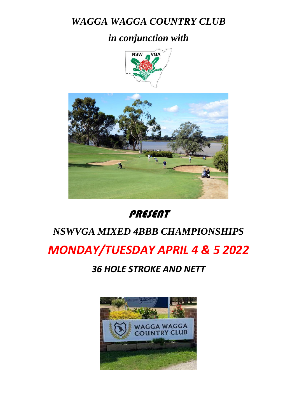## *WAGGA WAGGA COUNTRY CLUB*

### *in conjunction with*





### PRESENT

# *NSWVGA MIXED 4BBB CHAMPIONSHIPS*

## *MONDAY/TUESDAY APRIL 4 & 5 2022*

#### *36 HOLE STROKE AND NETT*

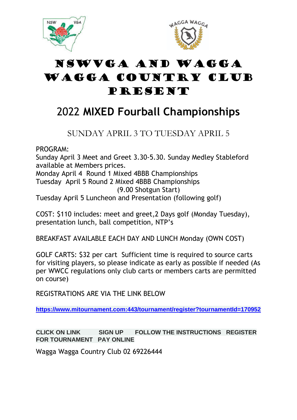



## NSWVGA and WAGGA WAGGA COUNTRY CLUB PRESENT

## 2022 **MIXED Fourball Championships**

#### SUNDAY APRIL 3 TO TUESDAY APRIL 5

PROGRAM:

Sunday April 3 Meet and Greet 3.30-5.30. Sunday Medley Stableford available at Members prices.

Monday April 4 Round 1 Mixed 4BBB Championships Tuesday April 5 Round 2 Mixed 4BBB Championships (9.00 Shotgun Start)

Tuesday April 5 Luncheon and Presentation (following golf)

COST: \$110 includes: meet and greet,2 Days golf (Monday Tuesday), presentation lunch, ball competition, NTP's

BREAKFAST AVAILABLE EACH DAY AND LUNCH Monday (OWN COST)

GOLF CARTS: \$32 per cart Sufficient time is required to source carts for visiting players, so please indicate as early as possible if needed (As per WWCC regulations only club carts or members carts are permitted on course)

REGISTRATIONS ARE VIA THE LINK BELOW

**[https://www.mitournament.com:443/tournament/register?tournamentId=170952](https://aus01.safelinks.protection.outlook.com/?url=https%3A%2F%2Fwww.mitournament.com%2Ftournament%2Fregister%3FtournamentId%3D170952&data=04%7C01%7Cmanager%40wwcc.com.au%7Cc593cd71c2d943b2eb8b08d8b840f8a0%7C290595b803714b08ae189ac02dac8993%7C0%7C0%7C637461936487762945%7CUnknown%7CTWFpbGZsb3d8eyJWIjoiMC4wLjAwMDAiLCJQIjoiV2luMzIiLCJBTiI6Ik1haWwiLCJXVCI6Mn0%3D%7C1000&sdata=EmL%2Fr0dcN3vcsZ9HJM3DIap%2Bx32cMpMRQYjoOn80QqI%3D&reserved=0)**

**CLICK ON LINK SIGN UP FOLLOW THE INSTRUCTIONS REGISTER FOR TOURNAMENT PAY ONLINE**

Wagga Wagga Country Club 02 69226444